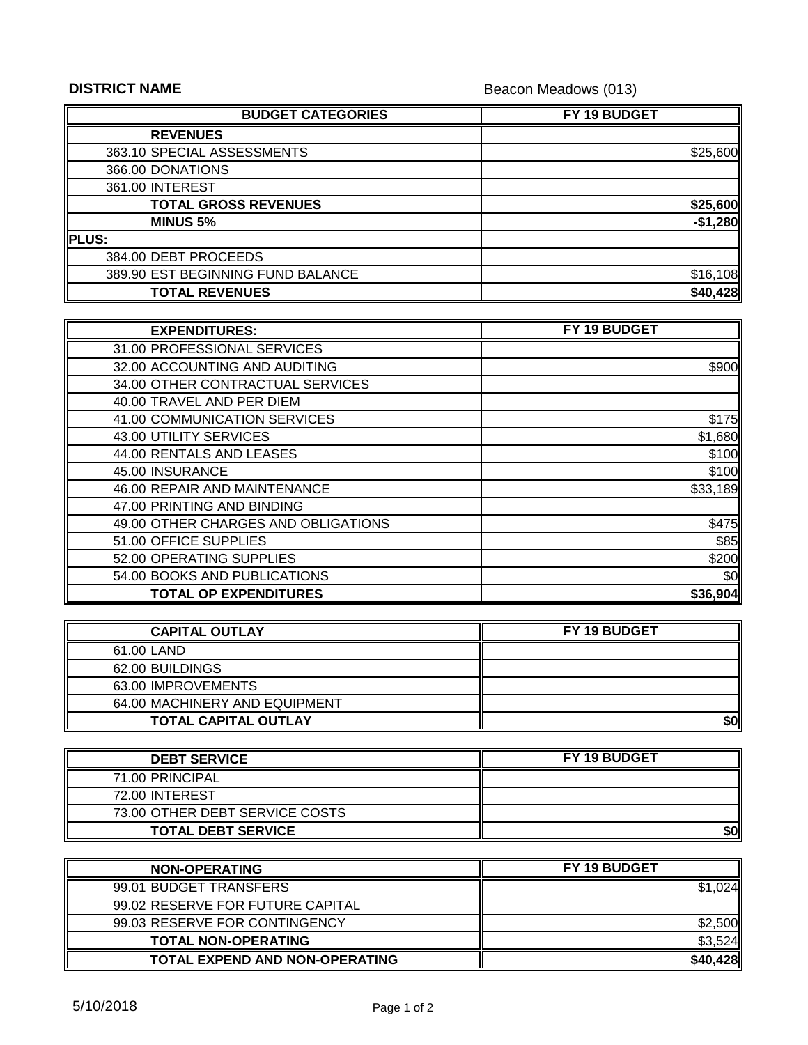## **DISTRICT NAME**

Beacon Meadows (013)

| <b>BUDGET CATEGORIES</b>          | FY 19 BUDGET |
|-----------------------------------|--------------|
| <b>REVENUES</b>                   |              |
| 363.10 SPECIAL ASSESSMENTS        | \$25,600     |
| 366.00 DONATIONS                  |              |
| 361.00 INTEREST                   |              |
| <b>TOTAL GROSS REVENUES</b>       | \$25,600     |
| <b>MINUS 5%</b>                   | $-$1,280$    |
| <b>PLUS:</b>                      |              |
| 384.00 DEBT PROCEEDS              |              |
| 389.90 EST BEGINNING FUND BALANCE | \$16,108     |
| <b>TOTAL REVENUES</b>             | \$40,428     |

| <b>EXPENDITURES:</b>                | FY 19 BUDGET |
|-------------------------------------|--------------|
| 31.00 PROFESSIONAL SERVICES         |              |
| 32.00 ACCOUNTING AND AUDITING       | \$900        |
| 34.00 OTHER CONTRACTUAL SERVICES    |              |
| 40.00 TRAVEL AND PER DIEM           |              |
| 41.00 COMMUNICATION SERVICES        | \$175        |
| 43.00 UTILITY SERVICES              | \$1,680      |
| 44.00 RENTALS AND LEASES            | \$100        |
| 45.00 INSURANCE                     | \$100        |
| 46.00 REPAIR AND MAINTENANCE        | \$33,189     |
| 47.00 PRINTING AND BINDING          |              |
| 49.00 OTHER CHARGES AND OBLIGATIONS | \$475        |
| 51.00 OFFICE SUPPLIES               | \$85         |
| 52.00 OPERATING SUPPLIES            | \$200        |
| 54.00 BOOKS AND PUBLICATIONS        | \$0          |
| <b>TOTAL OP EXPENDITURES</b>        | \$36,904     |

| <b>CAPITAL OUTLAY</b>         | <b>FY 19 BUDGET</b> |
|-------------------------------|---------------------|
| 61.00 LAND                    |                     |
| 62.00 BUILDINGS               |                     |
| 63.00 IMPROVEMENTS            |                     |
| 64.00 MACHINERY AND EQUIPMENT |                     |
| <b>TOTAL CAPITAL OUTLAY</b>   | \$0                 |

| <b>DEBT SERVICE</b>            | FY 19 BUDGET |
|--------------------------------|--------------|
| 71.00 PRINCIPAL                |              |
| 72.00 INTEREST                 |              |
| 73.00 OTHER DEBT SERVICE COSTS |              |
| <b>TOTAL DEBT SERVICE</b>      | \$0          |

| <b>NON-OPERATING</b>                  | <b>FY 19 BUDGET</b> |
|---------------------------------------|---------------------|
| 99.01 BUDGET TRANSFERS                | 024                 |
| 99.02 RESERVE FOR FUTURE CAPITAL      |                     |
| 99.03 RESERVE FOR CONTINGENCY         | \$2.500             |
| <b>TOTAL NON-OPERATING</b>            | \$3,524             |
| <b>TOTAL EXPEND AND NON-OPERATING</b> | \$40,428            |